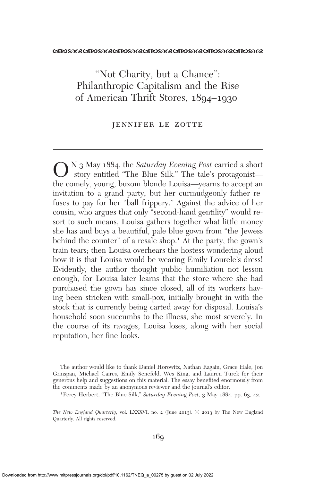#### <u>RNNARNNARNNARNNARNNARNNARNARNNA</u>

# "Not Charity, but a Chance": Philanthropic Capitalism and the Rise of American Thrift Stores, 1894–1930

#### jennifer le zotte

O <sup>N</sup> 3 May 1884, the *Saturday Evening Post* carried a short story entitled "The Blue Silk." The tale's protagonist the comely, young, buxom blonde Louisa—yearns to accept an invitation to a grand party, but her curmudgeonly father refuses to pay for her "ball frippery." Against the advice of her cousin, who argues that only "second-hand gentility" would resort to such means, Louisa gathers together what little money she has and buys a beautiful, pale blue gown from "the Jewess behind the counter" of a resale shop.<sup>1</sup> At the party, the gown's train tears; then Louisa overhears the hostess wondering aloud how it is that Louisa would be wearing Emily Lourele's dress! Evidently, the author thought public humiliation not lesson enough, for Louisa later learns that the store where she had purchased the gown has since closed, all of its workers having been stricken with small-pox, initially brought in with the stock that is currently being carted away for disposal. Louisa's household soon succumbs to the illness, she most severely. In the course of its ravages, Louisa loses, along with her social reputation, her fine looks.

The author would like to thank Daniel Horowitz, Nathan Ragain, Grace Hale, Jon Grinspan, Michael Caires, Emily Senefeld, Wes King, and Lauren Turek for their generous help and suggestions on this material. The essay benefited enormously from the comments made by an anonymous reviewer and the journal's editor.

<sup>1</sup>Percy Herbert, "The Blue Silk," *Saturday Evening Post,* 3 May 1884, pp. 63, 42.

*The New England Quarterly, vol. LXXXVI, no. 2 (June 2013). © 2013 by The New England* Quarterly. All rights reserved.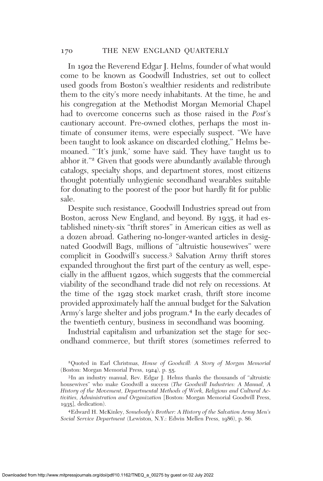In 1902 the Reverend Edgar J. Helms, founder of what would come to be known as Goodwill Industries, set out to collect used goods from Boston's wealthier residents and redistribute them to the city's more needy inhabitants. At the time, he and his congregation at the Methodist Morgan Memorial Chapel had to overcome concerns such as those raised in the *Post'*s cautionary account. Pre-owned clothes, perhaps the most intimate of consumer items, were especially suspect. "We have been taught to look askance on discarded clothing," Helms bemoaned. "'It's junk,' some have said. They have taught us to abhor it."<sup>2</sup> Given that goods were abundantly available through catalogs, specialty shops, and department stores, most citizens thought potentially unhygienic secondhand wearables suitable for donating to the poorest of the poor but hardly fit for public sale.

Despite such resistance, Goodwill Industries spread out from Boston, across New England, and beyond. By 1935, it had established ninety-six "thrift stores" in American cities as well as a dozen abroad. Gathering no-longer-wanted articles in designated Goodwill Bags, millions of "altruistic housewives" were complicit in Goodwill's success.<sup>3</sup> Salvation Army thrift stores expanded throughout the first part of the century as well, especially in the affluent 1920s, which suggests that the commercial viability of the secondhand trade did not rely on recessions. At the time of the 1929 stock market crash, thrift store income provided approximately half the annual budget for the Salvation Army's large shelter and jobs program.<sup>4</sup> In the early decades of the twentieth century, business in secondhand was booming.

Industrial capitalism and urbanization set the stage for secondhand commerce, but thrift stores (sometimes referred to

<sup>2</sup>Quoted in Earl Christmas, *House of Goodwill: A Story of Morgan Memorial* (Boston: Morgan Memorial Press, 1924), p. 55.

<sup>4</sup>Edward H. McKinley, *Somebody's Brother: A History of the Salvation Army Men's Social Service Department* (Lewiston, N.Y.: Edwin Mellen Press, 1986), p. 86.

<sup>3</sup>In an industry manual, Rev. Edgar J. Helms thanks the thousands of "altruistic housewives" who make Goodwill a success (*The Goodwill Industries: A Manual, A History of the Movement, Departmental Methods of Work, Religious and Cultural Activities, Administration and Organization* [Boston: Morgan Memorial Goodwill Press, 1935], dedication).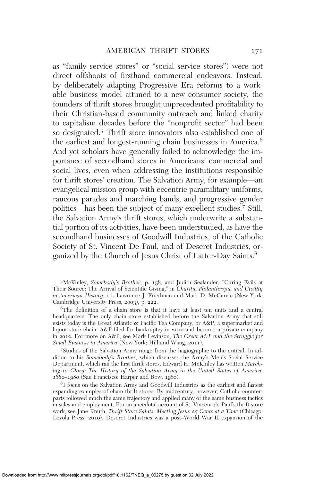as "family service stores" or "social service stores") were not direct offshoots of firsthand commercial endeavors. Instead, by deliberately adapting Progressive Era reforms to a workable business model attuned to a new consumer society, the founders of thrift stores brought unprecedented profitability to their Christian-based community outreach and linked charity to capitalism decades before the "nonprofit sector" had been so designated.<sup>5</sup> Thrift store innovators also established one of the earliest and longest-running chain businesses in America.<sup>6</sup> And yet scholars have generally failed to acknowledge the importance of secondhand stores in Americans' commercial and social lives, even when addressing the institutions responsible for thrift stores' creation. The Salvation Army, for example—an evangelical mission group with eccentric paramilitary uniforms, raucous parades and marching bands, and progressive gender politics—has been the subject of many excellent studies.<sup>7</sup> Still, the Salvation Army's thrift stores, which underwrite a substantial portion of its activities, have been understudied, as have the secondhand businesses of Goodwill Industries, of the Catholic Society of St. Vincent De Paul, and of Deseret Industries, organized by the Church of Jesus Christ of Latter-Day Saints.<sup>8</sup>

<sup>5</sup>McKinley, *Somebody's Brother,* p. 158, and Judith Sealander, "Curing Evils at Their Source: The Arrival of Scientific Giving," in *Charity, Philanthropy, and Civility in American History,* ed. Lawrence J. Friedman and Mark D. McGarvie (New York: Cambridge University Press, 2003), p. 222.

<sup>6</sup>The definition of a chain store is that it have at least ten units and a central headquarters. The only chain store established before the Salvation Army that still exists today is the Great Atlantic & Pacific Tea Company, or A&P, a supermarket and liquor store chain. A&P filed for bankruptcy in 2010 and became a private company in 2012. For more on A&P, see Mark Levinson, *The Great A&P and the Struggle for Small Business in America* (New York: Hill and Wang, 2011).

<sup>7</sup>Studies of the Salvation Army range from the hagiographic to the critical. In addition to his *Somebody's Brother,* which discusses the Army's Men's Social Service Department, which ran the first thrift stores, Edward H. McKinley has written *Marching to Glory: The History of the Salvation Army in the United States of America, 1880–1980* (San Francisco: Harper and Row, 1980).

<sup>8</sup>I focus on the Salvation Army and Goodwill Industries as the earliest and fastest expanding examples of chain thrift stores. By midcentury, however, Catholic counterparts followed much the same trajectory and applied many of the same business tactics in sales and employment. For an anecdotal account of St. Vincent de Paul's thrift store work, see Jane Knuth, *Thrift Store Saints: Meeting Jesus 25 Cents at a Time* (Chicago: Loyola Press, 2010). Deseret Industries was a post–World War II expansion of the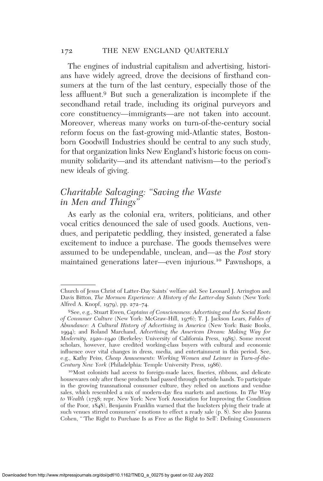The engines of industrial capitalism and advertising, historians have widely agreed, drove the decisions of firsthand consumers at the turn of the last century, especially those of the less affluent.<sup>9</sup> But such a generalization is incomplete if the secondhand retail trade, including its original purveyors and core constituency—immigrants—are not taken into account. Moreover, whereas many works on turn-of-the-century social reform focus on the fast-growing mid-Atlantic states, Bostonborn Goodwill Industries should be central to any such study, for that organization links New England's historic focus on community solidarity—and its attendant nativism—to the period's new ideals of giving.

### *Charitable Salvaging: "Saving the Waste in Men and Things"*

As early as the colonial era, writers, politicians, and other vocal critics denounced the sale of used goods. Auctions, vendues, and peripatetic peddling, they insisted, generated a false excitement to induce a purchase. The goods themselves were assumed to be undependable, unclean, and—as the *Post* story maintained generations later—even injurious.<sup>10</sup> Pawnshops, a

Church of Jesus Christ of Latter-Day Saints' welfare aid. See Leonard J. Arrington and Davis Bitton, *The Mormon Experience: A History of the Latter-day Saints* (New York: Alfred A. Knopf, 1979), pp. 272–74.

<sup>9</sup>See, e.g., Stuart Ewen, *Captains of Consciousness: Advertising and the Social Roots of Consumer Culture* (New York: McGraw-Hill, 1976); T. J. Jackson Lears, *Fables of Abundance: A Cultural History of Advertising in America* (New York: Basic Books, 1994); and Roland Marchand, *Advertising the American Dream: Making Way for Modernity, 1920–1940* (Berkeley: University of California Press, 1985). Some recent scholars, however, have credited working-class buyers with cultural and economic influence over vital changes in dress, media, and entertainment in this period. See, e.g., Kathy Peiss, *Cheap Amusements: Working Women and Leisure in Turn-of-the-Century New York* (Philadelphia: Temple University Press, 1986).

<sup>10</sup>Most colonists had access to foreign-made laces, fineries, ribbons, and delicate housewares only after these products had passed through portside hands. To participate in the growing transnational consumer culture, they relied on auctions and vendue sales, which resembled a mix of modern-day flea markets and auctions. In *The Way to Wealth* (1758; repr. New York: New York Association for Improving the Condition of the Poor, 1848), Benjamin Franklin warned that the hucksters plying their trade at such venues stirred consumers' emotions to effect a ready sale (p. 8). See also Joanna Cohen, " 'The Right to Purchase Is as Free as the Right to Sell': Defining Consumers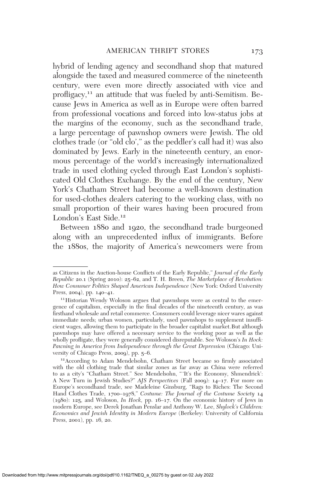hybrid of lending agency and secondhand shop that matured alongside the taxed and measured commerce of the nineteenth century, were even more directly associated with vice and profligacy,<sup>11</sup> an attitude that was fueled by anti-Semitism. Because Jews in America as well as in Europe were often barred from professional vocations and forced into low-status jobs at the margins of the economy, such as the secondhand trade, a large percentage of pawnshop owners were Jewish. The old clothes trade (or "old clo'," as the peddler's call had it) was also dominated by Jews. Early in the nineteenth century, an enormous percentage of the world's increasingly internationalized trade in used clothing cycled through East London's sophisticated Old Clothes Exchange. By the end of the century, New York's Chatham Street had become a well-known destination for used-clothes dealers catering to the working class, with no small proportion of their wares having been procured from London's East Side.<sup>12</sup>

Between 1880 and 1920, the secondhand trade burgeoned along with an unprecedented influx of immigrants. Before the 1880s, the majority of America's newcomers were from

as Citizens in the Auction-house Conflicts of the Early Republic," *Journal of the Early Republic* 20.1 (Spring 2010): 25–62, and T. H. Breen, *The Marketplace of Revolution: How Consumer Politics Shaped American Independence* (New York: Oxford University Press, 2004), pp. 140–41.

<sup>&</sup>lt;sup>11</sup>Historian Wendy Woloson argues that pawnshops were as central to the emergence of capitalism, especially in the final decades of the nineteenth century, as was firsthand wholesale and retail commerce. Consumers could leverage nicer wares against immediate needs; urban women, particularly, used pawnshops to supplement insufficient wages, allowing them to participate in the broader capitalist market.But although pawnshops may have offered a necessary service to the working poor as well as the wholly profligate, they were generally considered disreputable. See Woloson's *In Hock: Pawning in America from Independence through the Great Depression* (Chicago: University of Chicago Press, 2009), pp. 5–6.

<sup>12</sup>According to Adam Mendelsohn, Chatham Street became so firmly associated with the old clothing trade that similar zones as far away as China were referred to as a city's "Chatham Street." See Mendelsohn, " 'It's the Economy, Shmendrick': A New Turn in Jewish Studies?" *AJS Perspectives* (Fall 2009): 14–17. For more on Europe's secondhand trade, see Madeleine Ginsburg, "Rags to Riches: The Second Hand Clothes Trade, 1700–1978," *Costume: The Journal of the Costume Society* 14 (1980): 125, and Woloson, *In Hock,* pp. 16–17. On the economic history of Jews in modern Europe, see Derek Jonathan Penslar and Anthony W. Lee, *Shylock's Children: Economics and Jewish Identity in Modern Europe* (Berkeley: University of California Press, 2001), pp. 16, 20.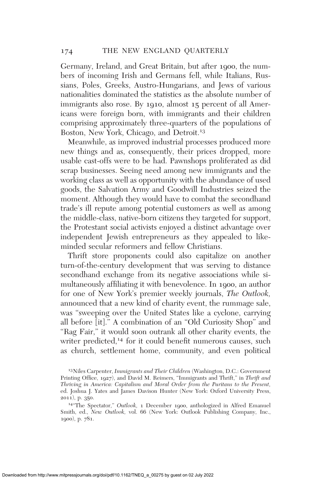Germany, Ireland, and Great Britain, but after 1900, the numbers of incoming Irish and Germans fell, while Italians, Russians, Poles, Greeks, Austro-Hungarians, and Jews of various nationalities dominated the statistics as the absolute number of immigrants also rose. By 1910, almost 15 percent of all Americans were foreign born, with immigrants and their children comprising approximately three-quarters of the populations of Boston, New York, Chicago, and Detroit.<sup>13</sup>

Meanwhile, as improved industrial processes produced more new things and as, consequently, their prices dropped, more usable cast-offs were to be had. Pawnshops proliferated as did scrap businesses. Seeing need among new immigrants and the working class as well as opportunity with the abundance of used goods, the Salvation Army and Goodwill Industries seized the moment. Although they would have to combat the secondhand trade's ill repute among potential customers as well as among the middle-class, native-born citizens they targeted for support, the Protestant social activists enjoyed a distinct advantage over independent Jewish entrepreneurs as they appealed to likeminded secular reformers and fellow Christians.

Thrift store proponents could also capitalize on another turn-of-the-century development that was serving to distance secondhand exchange from its negative associations while simultaneously affiliating it with benevolence. In 1900, an author for one of New York's premier weekly journals, *The Outlook,* announced that a new kind of charity event, the rummage sale, was "sweeping over the United States like a cyclone, carrying all before [it]." A combination of an "Old Curiosity Shop" and "Rag Fair," it would soon outrank all other charity events, the writer predicted,<sup>14</sup> for it could benefit numerous causes, such as church, settlement home, community, and even political

<sup>13</sup>Niles Carpenter, *Immigrants and Their Children* (Washington, D.C.: Government Printing Office, 1927), and David M. Reimers, "Immigrants and Thrift," in *Thrift and Thriving in America: Capitalism and Moral Order from the Puritans to the Present,* ed. Joshua J. Yates and James Davison Hunter (New York: Oxford University Press, 2011), p. 350.

<sup>&</sup>lt;sup>14"</sup>The Spectator," *Outlook*, 1 December 1900, anthologized in Alfred Emanuel Smith, ed., *New Outlook,* vol. 66 (New York: Outlook Publishing Company, Inc., 1900), p. 781.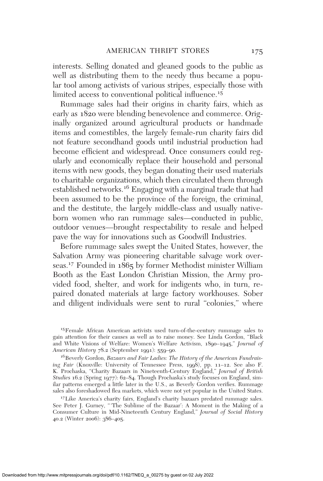interests. Selling donated and gleaned goods to the public as well as distributing them to the needy thus became a popular tool among activists of various stripes, especially those with limited access to conventional political influence.<sup>15</sup>

Rummage sales had their origins in charity fairs, which as early as 1820 were blending benevolence and commerce. Originally organized around agricultural products or handmade items and comestibles, the largely female-run charity fairs did not feature secondhand goods until industrial production had become efficient and widespread. Once consumers could regularly and economically replace their household and personal items with new goods, they began donating their used materials to charitable organizations, which then circulated them through established networks.<sup>16</sup> Engaging with a marginal trade that had been assumed to be the province of the foreign, the criminal, and the destitute, the largely middle-class and usually nativeborn women who ran rummage sales—conducted in public, outdoor venues—brought respectability to resale and helped pave the way for innovations such as Goodwill Industries.

Before rummage sales swept the United States, however, the Salvation Army was pioneering charitable salvage work overseas.<sup>17</sup> Founded in 1865 by former Methodist minister William Booth as the East London Christian Mission, the Army provided food, shelter, and work for indigents who, in turn, repaired donated materials at large factory workhouses. Sober and diligent individuals were sent to rural "colonies," where

<sup>15</sup>Female African American activists used turn-of-the-century rummage sales to gain attention for their causes as well as to raise money. See Linda Gordon, "Black and White Visions of Welfare: Women's Welfare Activism, 1890–1945," *Journal of American History* 78.2 (September 1991): 559–90.

<sup>16</sup> Beverly Gordon, *Bazaars and Fair Ladies: The History of the American Fundraising Fair* (Knoxville: University of Tennessee Press, 1998), pp. 11–12. See also F. K. Prochaska, "Charity Bazaars in Nineteenth-Century England," *Journal of British Studies* 16.2 (Spring 1977): 62–84. Though Prochaska's study focuses on England, similar patterns emerged a little later in the U.S., as Beverly Gordon verifies. Rummage sales also foreshadowed flea markets, which were not yet popular in the United States.

<sup>17</sup>Like America's charity fairs, England's charity bazaars predated rummage sales. See Peter J. Gurney, " 'The Sublime of the Bazaar': A Moment in the Making of a Consumer Culture in Mid-Nineteenth Century England," *Journal of Social History* 40.2 (Winter 2006): 386–405.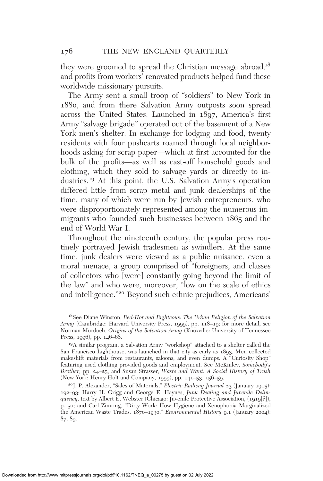they were groomed to spread the Christian message abroad,<sup>18</sup> and profits from workers' renovated products helped fund these worldwide missionary pursuits.

The Army sent a small troop of "soldiers" to New York in 1880, and from there Salvation Army outposts soon spread across the United States. Launched in 1897, America's first Army "salvage brigade" operated out of the basement of a New York men's shelter. In exchange for lodging and food, twenty residents with four pushcarts roamed through local neighborhoods asking for scrap paper—which at first accounted for the bulk of the profits—as well as cast-off household goods and clothing, which they sold to salvage yards or directly to industries.<sup>19</sup> At this point, the U.S. Salvation Army's operation differed little from scrap metal and junk dealerships of the time, many of which were run by Jewish entrepreneurs, who were disproportionately represented among the numerous immigrants who founded such businesses between 1865 and the end of World War I.

Throughout the nineteenth century, the popular press routinely portrayed Jewish tradesmen as swindlers. At the same time, junk dealers were viewed as a public nuisance, even a moral menace, a group comprised of "foreigners, and classes of collectors who [were] constantly going beyond the limit of the law" and who were, moreover, "low on the scale of ethics and intelligence."<sup>20</sup> Beyond such ethnic prejudices, Americans'

<sup>20</sup>J. P. Alexander, "Sales of Materials," *Electric Railway Journal* 23 (January 1915): 192–93; Harry H. Grigg and George E. Haynes, *Junk Dealing and Juvenile Delinquency,* text by Albert E. Webster (Chicago: Juvenile Protective Association, (1919[?]), p. 50; and Carl Zimring, "Dirty Work: How Hygiene and Xenophobia Marginalized the American Waste Trades, 1870–1930," *Environmental History* 9.1 (January 2004): 87, 89.

<sup>18</sup>See Diane Winston, *Red-Hot and Righteous: The Urban Religion of the Salvation Army* (Cambridge: Harvard University Press, 1999), pp. 118–19; for more detail, see Norman Murdoch, *Origins of the Salvation Army* (Knoxville: University of Tennessee Press, 1996), pp. 146–68.

<sup>19</sup>A similar program, a Salvation Army "workshop" attached to a shelter called the San Francisco Lighthouse, was launched in that city as early as 1893. Men collected makeshift materials from restaurants, saloons, and even dumps. A "Curiosity Shop" featuring used clothing provided goods and employment. See McKinley, *Somebody's Brother,* pp. 24–25, and Susan Strasser, *Waste and Want: A Social History of Trash* (New York: Henry Holt and Company, 1999), pp. 141–53, 156–59.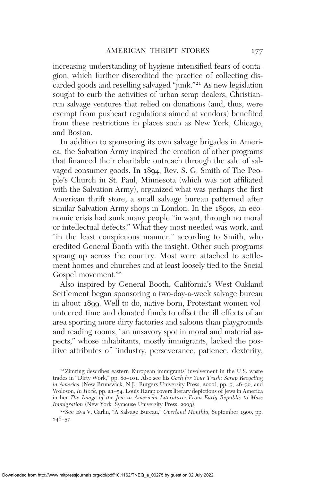increasing understanding of hygiene intensified fears of contagion, which further discredited the practice of collecting discarded goods and reselling salvaged "junk."<sup>21</sup> As new legislation sought to curb the activities of urban scrap dealers, Christianrun salvage ventures that relied on donations (and, thus, were exempt from pushcart regulations aimed at vendors) benefited from these restrictions in places such as New York, Chicago, and Boston.

In addition to sponsoring its own salvage brigades in America, the Salvation Army inspired the creation of other programs that financed their charitable outreach through the sale of salvaged consumer goods. In 1894, Rev. S. G. Smith of The People's Church in St. Paul, Minnesota (which was not affiliated with the Salvation Army), organized what was perhaps the first American thrift store, a small salvage bureau patterned after similar Salvation Army shops in London. In the 1890s, an economic crisis had sunk many people "in want, through no moral or intellectual defects." What they most needed was work, and "in the least conspicuous manner," according to Smith, who credited General Booth with the insight. Other such programs sprang up across the country. Most were attached to settlement homes and churches and at least loosely tied to the Social Gospel movement.<sup>22</sup>

Also inspired by General Booth, California's West Oakland Settlement began sponsoring a two-day-a-week salvage bureau in about 1899. Well-to-do, native-born, Protestant women volunteered time and donated funds to offset the ill effects of an area sporting more dirty factories and saloons than playgrounds and reading rooms, "an unsavory spot in moral and material aspects," whose inhabitants, mostly immigrants, lacked the positive attributes of "industry, perseverance, patience, dexterity,

<sup>22</sup>See Eva V. Carlin, "A Salvage Bureau," *Overland Monthly,* September 1900, pp. 246–57.

<sup>21</sup>Zimring describes eastern European immigrants' involvement in the U.S. waste trades in "Dirty Work," pp. 80–101. Also see his *Cash for Your Trash: Scrap Recycling in America* (New Brunswick, N.J.: Rutgers University Press, 2000), pp. 5, 46–50, and Woloson, *In Hock,* pp. 21–54. Louis Harap covers literary depictions of Jews in America in her *The Image of the Jew in American Literature: From Early Republic to Mass Immigration* (New York: Syracuse University Press, 2003).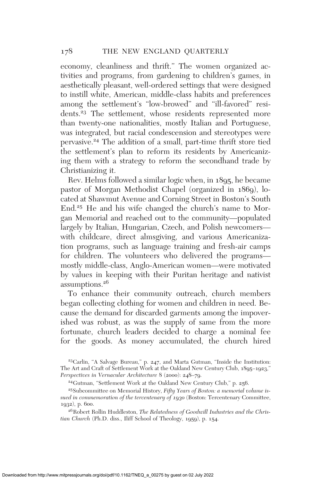economy, cleanliness and thrift." The women organized activities and programs, from gardening to children's games, in aesthetically pleasant, well-ordered settings that were designed to instill white, American, middle-class habits and preferences among the settlement's "low-browed" and "ill-favored" residents.<sup>23</sup> The settlement, whose residents represented more than twenty-one nationalities, mostly Italian and Portuguese, was integrated, but racial condescension and stereotypes were pervasive.<sup>24</sup> The addition of a small, part-time thrift store tied the settlement's plan to reform its residents by Americanizing them with a strategy to reform the secondhand trade by Christianizing it.

Rev. Helms followed a similar logic when, in 1895, he became pastor of Morgan Methodist Chapel (organized in 1869), located at Shawmut Avenue and Corning Street in Boston's South End.<sup>25</sup> He and his wife changed the church's name to Morgan Memorial and reached out to the community—populated largely by Italian, Hungarian, Czech, and Polish newcomers with childcare, direct almsgiving, and various Americanization programs, such as language training and fresh-air camps for children. The volunteers who delivered the programs mostly middle-class, Anglo-American women—were motivated by values in keeping with their Puritan heritage and nativist assumptions.<sup>26</sup>

To enhance their community outreach, church members began collecting clothing for women and children in need. Because the demand for discarded garments among the impoverished was robust, as was the supply of same from the more fortunate, church leaders decided to charge a nominal fee for the goods. As money accumulated, the church hired

<sup>26</sup>Robert Rollin Huddleston, *The Relatedness of Goodwill Industries and the Christian Church* (Ph.D. diss., Iliff School of Theology, 1959), p. 154.

<sup>23</sup>Carlin, "A Salvage Bureau," p. 247, and Marta Gutman, "Inside the Institution: The Art and Craft of Settlement Work at the Oakland New Century Club, 1895–1923," *Perspectives in Vernacular Architecture* 8 (2000): 248–79.

<sup>24</sup>Gutman, "Settlement Work at the Oakland New Century Club," p. 256.

<sup>25</sup>Subcommittee on Memorial History, *Fifty Years of Boston: a memorial volume issued in commemoration of the tercentenary of 1930* (Boston: Tercentenary Committee, 1932), p. 600.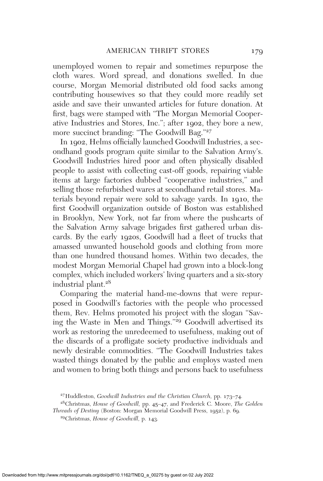unemployed women to repair and sometimes repurpose the cloth wares. Word spread, and donations swelled. In due course, Morgan Memorial distributed old food sacks among contributing housewives so that they could more readily set aside and save their unwanted articles for future donation. At first, bags were stamped with "The Morgan Memorial Cooperative Industries and Stores, Inc."; after 1902, they bore a new, more succinct branding: "The Goodwill Bag."<sup>27</sup>

In 1902, Helms officially launched Goodwill Industries, a secondhand goods program quite similar to the Salvation Army's. Goodwill Industries hired poor and often physically disabled people to assist with collecting cast-off goods, repairing viable items at large factories dubbed "cooperative industries," and selling those refurbished wares at secondhand retail stores. Materials beyond repair were sold to salvage yards. In 1910, the first Goodwill organization outside of Boston was established in Brooklyn, New York, not far from where the pushcarts of the Salvation Army salvage brigades first gathered urban discards. By the early 1920s, Goodwill had a fleet of trucks that amassed unwanted household goods and clothing from more than one hundred thousand homes. Within two decades, the modest Morgan Memorial Chapel had grown into a block-long complex, which included workers' living quarters and a six-story industrial plant.<sup>28</sup>

Comparing the material hand-me-downs that were repurposed in Goodwill's factories with the people who processed them, Rev. Helms promoted his project with the slogan "Saving the Waste in Men and Things."<sup>29</sup> Goodwill advertised its work as restoring the unredeemed to usefulness, making out of the discards of a profligate society productive individuals and newly desirable commodities. "The Goodwill Industries takes wasted things donated by the public and employs wasted men and women to bring both things and persons back to usefulness

<sup>27</sup>Huddleston, *Goodwill Industries and the Christian Church,* pp. 173–74.

<sup>28</sup>Christmas, *House of Goodwill,* pp. 45–47, and Frederick C. Moore, *The Golden Threads of Destiny* (Boston: Morgan Memorial Goodwill Press, 1952), p. 69.

<sup>29</sup>Christmas, *House of Goodwill,* p. 143.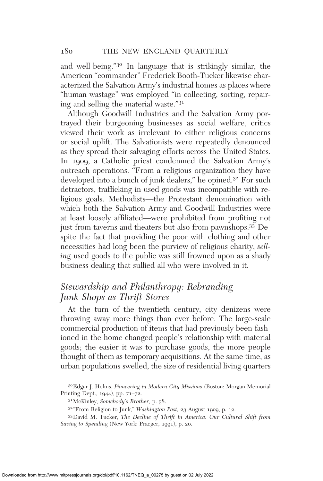and well-being."<sup>30</sup> In language that is strikingly similar, the American "commander" Frederick Booth-Tucker likewise characterized the Salvation Army's industrial homes as places where "human wastage" was employed "in collecting, sorting, repairing and selling the material waste."<sup>31</sup>

Although Goodwill Industries and the Salvation Army portrayed their burgeoning businesses as social welfare, critics viewed their work as irrelevant to either religious concerns or social uplift. The Salvationists were repeatedly denounced as they spread their salvaging efforts across the United States. In 1909, a Catholic priest condemned the Salvation Army's outreach operations. "From a religious organization they have developed into a bunch of junk dealers," he opined.<sup>32</sup> For such detractors, trafficking in used goods was incompatible with religious goals. Methodists—the Protestant denomination with which both the Salvation Army and Goodwill Industries were at least loosely affiliated—were prohibited from profiting not just from taverns and theaters but also from pawnshops.<sup>33</sup> Despite the fact that providing the poor with clothing and other necessities had long been the purview of religious charity, *selling* used goods to the public was still frowned upon as a shady business dealing that sullied all who were involved in it.

### *Stewardship and Philanthropy: Rebranding Junk Shops as Thrift Stores*

At the turn of the twentieth century, city denizens were throwing away more things than ever before. The large-scale commercial production of items that had previously been fashioned in the home changed people's relationship with material goods; the easier it was to purchase goods, the more people thought of them as temporary acquisitions. At the same time, as urban populations swelled, the size of residential living quarters

<sup>30</sup>Edgar J. Helms, *Pioneering in Modern City Missions* (Boston: Morgan Memorial Printing Dept., 1944), pp. 71–72.

<sup>31</sup>McKinley, *Somebody's Brother,* p. 58.

<sup>32</sup>"From Religion to Junk," *Washington Post,* 23 August 1909, p. 12.

<sup>33</sup>David M. Tucker, *The Decline of Thrift in America: Our Cultural Shift from Saving to Spending* (New York: Praeger, 1991), p. 20.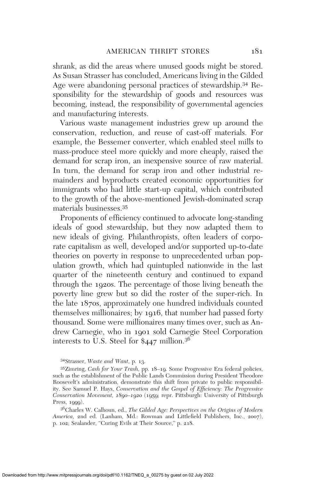shrank, as did the areas where unused goods might be stored. As Susan Strasser has concluded, Americans living in the Gilded Age were abandoning personal practices of stewardship.<sup>34</sup> Responsibility for the stewardship of goods and resources was becoming, instead, the responsibility of governmental agencies and manufacturing interests.

Various waste management industries grew up around the conservation, reduction, and reuse of cast-off materials. For example, the Bessemer converter, which enabled steel mills to mass-produce steel more quickly and more cheaply, raised the demand for scrap iron, an inexpensive source of raw material. In turn, the demand for scrap iron and other industrial remainders and byproducts created economic opportunities for immigrants who had little start-up capital, which contributed to the growth of the above-mentioned Jewish-dominated scrap materials businesses.<sup>35</sup>

Proponents of efficiency continued to advocate long-standing ideals of good stewardship, but they now adapted them to new ideals of giving. Philanthropists, often leaders of corporate capitalism as well, developed and/or supported up-to-date theories on poverty in response to unprecedented urban population growth, which had quintupled nationwide in the last quarter of the nineteenth century and continued to expand through the 1920s. The percentage of those living beneath the poverty line grew but so did the roster of the super-rich. In the late 1870s, approximately one hundred individuals counted themselves millionaires; by 1916, that number had passed forty thousand. Some were millionaires many times over, such as Andrew Carnegie, who in 1901 sold Carnegie Steel Corporation interests to U.S. Steel for  $$447$  million.<sup>36</sup>

#### <sup>34</sup>Strasser, *Waste and Want,* p. 13.

<sup>35</sup>Zimring, *Cash for Your Trash,* pp. 18–19. Some Progressive Era federal policies, such as the establishment of the Public Lands Commission during President Theodore Roosevelt's administration, demonstrate this shift from private to public responsibility. See Samuel P. Hays, *Conservation and the Gospel of Efficiency: The Progressive Conservation Movement, 1890–1920* (1959; repr. Pittsburgh: University of Pittsburgh Press, 1999).

<sup>36</sup>Charles W. Calhoun, ed., *The Gilded Age: Perspectives on the Origins of Modern America,* 2nd ed. (Lanham, Md.: Rowman and Littlefield Publishers, Inc., 2007), p. 102; Sealander, "Curing Evils at Their Source," p. 218.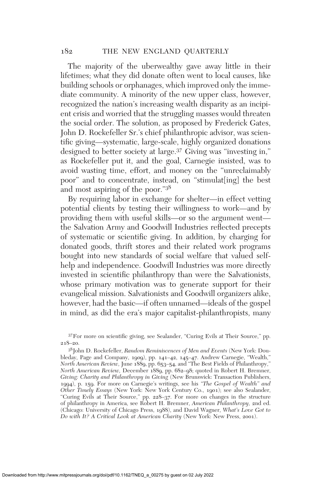The majority of the uberwealthy gave away little in their lifetimes; what they did donate often went to local causes, like building schools or orphanages, which improved only the immediate community. A minority of the new upper class, however, recognized the nation's increasing wealth disparity as an incipient crisis and worried that the struggling masses would threaten the social order. The solution, as proposed by Frederick Gates, John D. Rockefeller Sr.'s chief philanthropic advisor, was scientific giving—systematic, large-scale, highly organized donations designed to better society at large.<sup>37</sup> Giving was "investing in," as Rockefeller put it, and the goal, Carnegie insisted, was to avoid wasting time, effort, and money on the "unreclaimably poor" and to concentrate, instead, on "stimulat[ing] the best and most aspiring of the poor."<sup>38</sup>

By requiring labor in exchange for shelter—in effect vetting potential clients by testing their willingness to work—and by providing them with useful skills—or so the argument went the Salvation Army and Goodwill Industries reflected precepts of systematic or scientific giving. In addition, by charging for donated goods, thrift stores and their related work programs bought into new standards of social welfare that valued selfhelp and independence. Goodwill Industries was more directly invested in scientific philanthropy than were the Salvationists, whose primary motivation was to generate support for their evangelical mission. Salvationists and Goodwill organizers alike, however, had the basic—if often unnamed—ideals of the gospel in mind, as did the era's major capitalist-philanthropists, many

<sup>37</sup>For more on scientific giving, see Sealander, "Curing Evils at Their Source," pp. 218–20.

<sup>38</sup>John D. Rockefeller, *Random Reminiscences of Men and Events* (New York: Doubleday, Page and Company, 1909), pp. 141–42, 145–47. Andrew Carnegie, "Wealth," *North American Review,* June 1889, pp. 653–54, and "The Best Fields of Philanthropy," *North American Review,* December 1889, pp. 682–98; quoted in Robert H. Bremner, *Giving: Charity and Philanthropy in Giving* (New Brunswick: Transaction Publishers, 1994), p. 159. For more on Carnegie's writings, see his *"The Gospel of Wealth" and Other Timely Essays* (New York: New York Century Co., 1901); see also Sealander, "Curing Evils at Their Source," pp. 228–37. For more on changes in the structure of philanthropy in America, see Robert H. Bremner, *American Philanthropy,* 2nd ed. (Chicago: University of Chicago Press, 1988), and David Wagner, *What's Love Got to Do with It? A Critical Look at American Charity* (New York: New Press, 2001).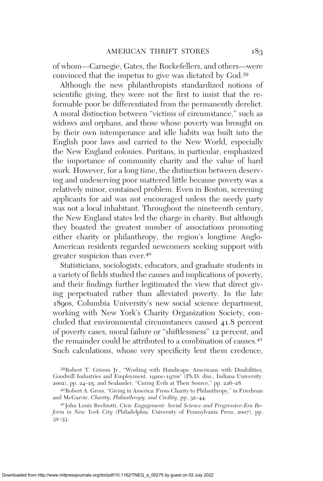of whom—Carnegie, Gates, the Rockefellers, and others—were convinced that the impetus to give was dictated by God.<sup>39</sup>

Although the new philanthropists standardized notions of scientific giving, they were not the first to insist that the reformable poor be differentiated from the permanently derelict. A moral distinction between "victims of circumstance," such as widows and orphans, and those whose poverty was brought on by their own intemperance and idle habits was built into the English poor laws and carried to the New World, especially the New England colonies. Puritans, in particular, emphasized the importance of community charity and the value of hard work. However, for a long time, the distinction between deserving and undeserving poor mattered little because poverty was a relatively minor, contained problem. Even in Boston, screening applicants for aid was not encouraged unless the needy party was not a local inhabitant. Throughout the nineteenth century, the New England states led the charge in charity. But although they boasted the greatest number of associations promoting either charity or philanthropy, the region's longtime Anglo-American residents regarded newcomers seeking support with greater suspicion than ever.<sup>40</sup>

Statisticians, sociologists, educators, and graduate students in a variety of fields studied the causes and implications of poverty, and their findings further legitimated the view that direct giving perpetuated rather than alleviated poverty. In the late 1890s, Columbia University's new social science department, working with New York's Charity Organization Society, concluded that environmental circumstances caused 41.8 percent of poverty cases, moral failure or "shiftlessness" 12 percent, and the remainder could be attributed to a combination of causes.<sup>41</sup> Such calculations, whose very specificity lent them credence,

<sup>39</sup>Robert T. Grimm Jr., "Working with Handicaps: Americans with Disabilities, Goodwill Industries and Employment, 1920s–1970s" (Ph.D. diss., Indiana University, 2002), pp. 24–25, and Sealander, "Curing Evils at Their Source," pp. 226–28.

<sup>41</sup>John Louis Rechiutti, *Civic Engagement: Social Science and Progressive-Era Reform in New York City* (Philadelphia: University of Pennsylvania Press, 2007), pp. 32–33.

<sup>40</sup>Robert A. Gross, "Giving in America: From Charity to Philanthropy," in Friedman and McGarvie, *Charity, Philanthropy, and Civility,* pp. 32–44.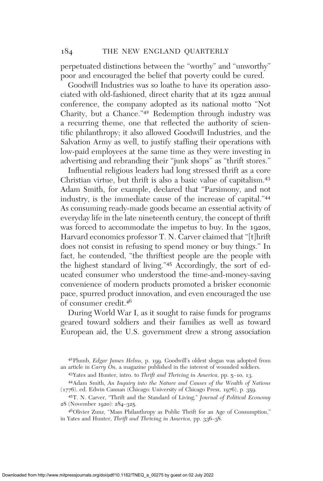perpetuated distinctions between the "worthy" and "unworthy" poor and encouraged the belief that poverty could be cured.

Goodwill Industries was so loathe to have its operation associated with old-fashioned, direct charity that at its 1922 annual conference, the company adopted as its national motto "Not Charity, but a Chance."<sup>42</sup> Redemption through industry was a recurring theme, one that reflected the authority of scientific philanthropy; it also allowed Goodwill Industries, and the Salvation Army as well, to justify staffing their operations with low-paid employees at the same time as they were investing in advertising and rebranding their "junk shops" as "thrift stores."

Influential religious leaders had long stressed thrift as a core Christian virtue, but thrift is also a basic value of capitalism.<sup>43</sup> Adam Smith, for example, declared that "Parsimony, and not industry, is the immediate cause of the increase of capital."<sup>44</sup> As consuming ready-made goods became an essential activity of everyday life in the late nineteenth century, the concept of thrift was forced to accommodate the impetus to buy. In the 1920s, Harvard economics professor T. N. Carver claimed that "[t]hrift does not consist in refusing to spend money or buy things." In fact, he contended, "the thriftiest people are the people with the highest standard of living."<sup>45</sup> Accordingly, the sort of educated consumer who understood the time-and-money-saving convenience of modern products promoted a brisker economic pace, spurred product innovation, and even encouraged the use of consumer credit.<sup>46</sup>

During World War I, as it sought to raise funds for programs geared toward soldiers and their families as well as toward European aid, the U.S. government drew a strong association

<sup>43</sup>Yates and Hunter, intro. to *Thrift and Thriving in America,* pp. 5–10, 13.

<sup>42</sup>Plumb, *Edgar James Helms,* p. 199. Goodwill's oldest slogan was adopted from an article in *Carry On,* a magazine published in the interest of wounded soldiers.

<sup>44</sup>Adam Smith, *An Inquiry into the Nature and Causes of the Wealth of Nations* (1776), ed. Edwin Cannan (Chicago: University of Chicago Press, 1976), p. 359.

<sup>45</sup>T. N. Carver, "Thrift and the Standard of Living," *Journal of Political Economy* 28 (November 1920): 284–325.

<sup>46</sup>Olivier Zunz, "Mass Philanthropy as Public Thrift for an Age of Consumption," in Yates and Hunter, *Thrift and Thriving in America,* pp. 336–38.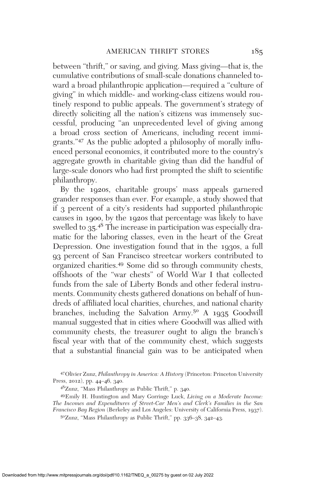between "thrift," or saving, and giving. Mass giving—that is, the cumulative contributions of small-scale donations channeled toward a broad philanthropic application—required a "culture of giving" in which middle- and working-class citizens would routinely respond to public appeals. The government's strategy of directly soliciting all the nation's citizens was immensely successful, producing "an unprecedented level of giving among a broad cross section of Americans, including recent immigrants."<sup>47</sup> As the public adopted a philosophy of morally influenced personal economics, it contributed more to the country's aggregate growth in charitable giving than did the handful of large-scale donors who had first prompted the shift to scientific philanthropy.

By the 1920s, charitable groups' mass appeals garnered grander responses than ever. For example, a study showed that if 3 percent of a city's residents had supported philanthropic causes in 1900, by the 1920s that percentage was likely to have swelled to 35. <sup>48</sup> The increase in participation was especially dramatic for the laboring classes, even in the heart of the Great Depression. One investigation found that in the 1930s, a full 93 percent of San Francisco streetcar workers contributed to organized charities.<sup>49</sup> Some did so through community chests, offshoots of the "war chests" of World War I that collected funds from the sale of Liberty Bonds and other federal instruments. Community chests gathered donations on behalf of hundreds of affiliated local charities, churches, and national charity branches, including the Salvation Army.<sup>50</sup> A 1935 Goodwill manual suggested that in cities where Goodwill was allied with community chests, the treasurer ought to align the branch's fiscal year with that of the community chest, which suggests that a substantial financial gain was to be anticipated when

<sup>47</sup>Olivier Zunz, *Philanthropy in America: A History* (Princeton: Princeton University Press, 2012), pp. 44–46, 340.

<sup>48</sup>Zunz, "Mass Philanthropy as Public Thrift," p. 340.

<sup>49</sup>Emily H. Huntington and Mary Gorringe Luck, *Living on a Moderate Income: The Incomes and Expenditures of Street-Car Men's and Clerk's Families in the San Francisco Bay Region* (Berkeley and Los Angeles: University of California Press, 1937).

<sup>50</sup>Zunz, "Mass Philanthropy as Public Thrift," pp. 336–38, 342–43.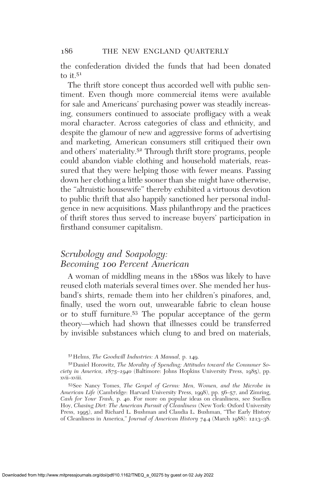the confederation divided the funds that had been donated to it  $5<sup>1</sup>$ 

The thrift store concept thus accorded well with public sentiment. Even though more commercial items were available for sale and Americans' purchasing power was steadily increasing, consumers continued to associate profligacy with a weak moral character. Across categories of class and ethnicity, and despite the glamour of new and aggressive forms of advertising and marketing, American consumers still critiqued their own and others' materiality.<sup>52</sup> Through thrift store programs, people could abandon viable clothing and household materials, reassured that they were helping those with fewer means. Passing down her clothing a little sooner than she might have otherwise, the "altruistic housewife" thereby exhibited a virtuous devotion to public thrift that also happily sanctioned her personal indulgence in new acquisitions. Mass philanthropy and the practices of thrift stores thus served to increase buyers' participation in firsthand consumer capitalism.

### *Scrubology and Soapology: Becoming 100 Percent American*

A woman of middling means in the 1880s was likely to have reused cloth materials several times over. She mended her husband's shirts, remade them into her children's pinafores, and, finally, used the worn out, unwearable fabric to clean house or to stuff furniture.<sup>53</sup> The popular acceptance of the germ theory—which had shown that illnesses could be transferred by invisible substances which clung to and bred on materials,

<sup>51</sup>Helms, *The Goodwill Industries: A Manual,* p. 149.

<sup>52</sup>Daniel Horowitz, *The Morality of Spending: Attitudes toward the Consumer Society in America, 1875–1940* (Baltimore: Johns Hopkins University Press, 1985), pp. xvii–xviii.

<sup>53</sup>See Nancy Tomes, *The Gospel of Germs: Men, Women, and the Microbe in American Life* (Cambridge: Harvard University Press, 1998), pp. 56–57, and Zimring, *Cash for Your Trash,* p. 40. For more on popular ideas on cleanliness, see Suellen Hoy, *Chasing Dirt: The American Pursuit of Cleanliness* (New York: Oxford University Press, 1995), and Richard L. Bushman and Claudia L. Bushman, "The Early History of Cleanliness in America," *Journal of American History* 74.4 (March 1988): 1213–38.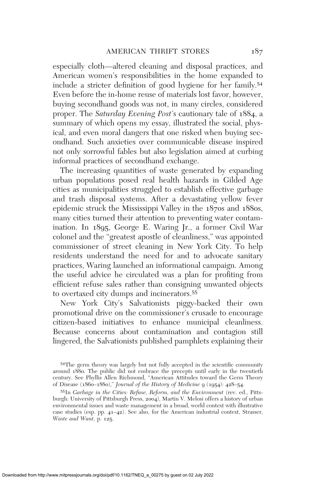especially cloth—altered cleaning and disposal practices, and American women's responsibilities in the home expanded to include a stricter definition of good hygiene for her family.<sup>54</sup> Even before the in-home reuse of materials lost favor, however, buying secondhand goods was not, in many circles, considered proper. The *Saturday Evening Post'*s cautionary tale of 1884, a summary of which opens my essay, illustrated the social, physical, and even moral dangers that one risked when buying secondhand. Such anxieties over communicable disease inspired not only sorrowful fables but also legislation aimed at curbing informal practices of secondhand exchange.

The increasing quantities of waste generated by expanding urban populations posed real health hazards in Gilded Age cities as municipalities struggled to establish effective garbage and trash disposal systems. After a devastating yellow fever epidemic struck the Mississippi Valley in the 1870s and 1880s, many cities turned their attention to preventing water contamination. In 1895, George E. Waring Jr., a former Civil War colonel and the "greatest apostle of cleanliness," was appointed commissioner of street cleaning in New York City. To help residents understand the need for and to advocate sanitary practices, Waring launched an informational campaign. Among the useful advice he circulated was a plan for profiting from efficient refuse sales rather than consigning unwanted objects to overtaxed city dumps and incinerators.<sup>55</sup>

New York City's Salvationists piggy-backed their own promotional drive on the commissioner's crusade to encourage citizen-based initiatives to enhance municipal cleanliness. Because concerns about contamination and contagion still lingered, the Salvationists published pamphlets explaining their

<sup>54</sup>The germ theory was largely but not fully accepted in the scientific community around 1880. The public did not embrace the precepts until early in the twentieth century. See Phyllis Allen Richmond, "American Attitudes toward the Germ Theory of Disease (1860–1880)," *Journal of the History of Medicine* 9 (1954): 428–54.

<sup>55</sup>In *Garbage in the Cities: Refuse, Reform, and the Environment* (rev. ed., Pittsburgh: University of Pittsburgh Press, 2004), Martin V. Melosi offers a history of urban environmental issues and waste management in a broad, world context with illustrative case studies (esp. pp. 41–42). See also, for the American industrial context, Strasser, *Waste and Want,* p. 125.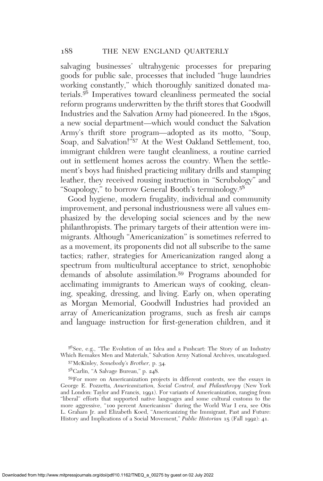salvaging businesses' ultrahygenic processes for preparing goods for public sale, processes that included "huge laundries working constantly," which thoroughly sanitized donated materials.<sup>56</sup> Imperatives toward cleanliness permeated the social reform programs underwritten by the thrift stores that Goodwill Industries and the Salvation Army had pioneered. In the 1890s, a new social department—which would conduct the Salvation Army's thrift store program—adopted as its motto, "Soup, Soap, and Salvation!"<sup>57</sup> At the West Oakland Settlement, too, immigrant children were taught cleanliness, a routine carried out in settlement homes across the country. When the settlement's boys had finished practicing military drills and stamping leather, they received rousing instruction in "Scrubology" and "Soapology," to borrow General Booth's terminology.<sup>58</sup>

Good hygiene, modern frugality, individual and community improvement, and personal industriousness were all values emphasized by the developing social sciences and by the new philanthropists. The primary targets of their attention were immigrants. Although "Americanization" is sometimes referred to as a movement, its proponents did not all subscribe to the same tactics; rather, strategies for Americanization ranged along a spectrum from multicultural acceptance to strict, xenophobic demands of absolute assimilation.<sup>59</sup> Programs abounded for acclimating immigrants to American ways of cooking, cleaning, speaking, dressing, and living. Early on, when operating as Morgan Memorial, Goodwill Industries had provided an array of Americanization programs, such as fresh air camps and language instruction for first-generation children, and it

<sup>56</sup>See, e.g., "The Evolution of an Idea and a Pushcart: The Story of an Industry Which Remakes Men and Materials," Salvation Army National Archives, uncatalogued.

<sup>58</sup>Carlin, "A Salvage Bureau," p. 248.

<sup>59</sup>For more on Americanization projects in different contexts, see the essays in George E. Pozzetta, *Americanization, Social Control, and Philanthropy* (New York and London: Taylor and Francis, 1991). For variants of Americanization, ranging from "liberal" efforts that supported native languages and some cultural customs to the more aggressive, "100 percent Americanism" during the World War I era, see Otis L. Graham Jr. and Elizabeth Koed, "Americanizing the Immigrant, Past and Future: History and Implications of a Social Movement," *Public Historian* 15 (Fall 1992): 41.

<sup>57</sup>McKinley, *Somebody's Brother,* p. 34.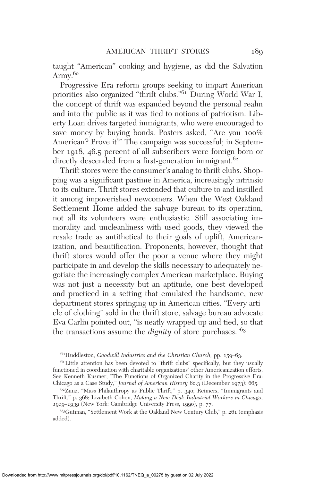taught "American" cooking and hygiene, as did the Salvation Army.<sup>60</sup>

Progressive Era reform groups seeking to impart American priorities also organized "thrift clubs."<sup>61</sup> During World War I, the concept of thrift was expanded beyond the personal realm and into the public as it was tied to notions of patriotism. Liberty Loan drives targeted immigrants, who were encouraged to save money by buying bonds. Posters asked, "Are you 100% American? Prove it!" The campaign was successful; in September 1918, 46.5 percent of all subscribers were foreign born or directly descended from a first-generation immigrant.<sup>62</sup>

Thrift stores were the consumer's analog to thrift clubs. Shopping was a significant pastime in America, increasingly intrinsic to its culture. Thrift stores extended that culture to and instilled it among impoverished newcomers. When the West Oakland Settlement Home added the salvage bureau to its operation, not all its volunteers were enthusiastic. Still associating immorality and uncleanliness with used goods, they viewed the resale trade as antithetical to their goals of uplift, Americanization, and beautification. Proponents, however, thought that thrift stores would offer the poor a venue where they might participate in and develop the skills necessary to adequately negotiate the increasingly complex American marketplace. Buying was not just a necessity but an aptitude, one best developed and practiced in a setting that emulated the handsome, new department stores springing up in American cities. "Every article of clothing" sold in the thrift store, salvage bureau advocate Eva Carlin pointed out, "is neatly wrapped up and tied, so that the transactions assume the *dignity* of store purchases."<sup>63</sup>

<sup>63</sup>Gutman, "Settlement Work at the Oakland New Century Club," p. 261 (emphasis added).

<sup>60</sup>Huddleston, *Goodwill Industries and the Christian Church,* pp. 159–63.

 $61$ Little attention has been devoted to "thrift clubs" specifically, but they usually functioned in coordination with charitable organizations' other Americanization efforts. See Kenneth Kusmer, "The Functions of Organized Charity in the Progressive Era: Chicago as a Case Study," *Journal of American History* 60.3 (December 1973): 665.

<sup>62</sup>Zunz, "Mass Philanthropy as Public Thrift," p. 340; Reimers, "Immigrants and Thrift," p. 368; Lizabeth Cohen, *Making a New Deal: Industrial Workers in Chicago, 1919–1939* (New York: Cambridge University Press, 1990), p. 77.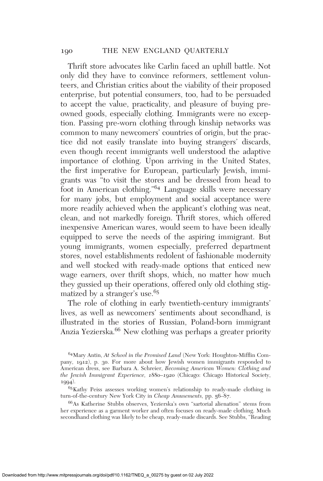Thrift store advocates like Carlin faced an uphill battle. Not only did they have to convince reformers, settlement volunteers, and Christian critics about the viability of their proposed enterprise, but potential consumers, too, had to be persuaded to accept the value, practicality, and pleasure of buying preowned goods, especially clothing. Immigrants were no exception. Passing pre-worn clothing through kinship networks was common to many newcomers' countries of origin, but the practice did not easily translate into buying strangers' discards, even though recent immigrants well understood the adaptive importance of clothing. Upon arriving in the United States, the first imperative for European, particularly Jewish, immigrants was "to visit the stores and be dressed from head to foot in American clothing."<sup>64</sup> Language skills were necessary for many jobs, but employment and social acceptance were more readily achieved when the applicant's clothing was neat, clean, and not markedly foreign. Thrift stores, which offered inexpensive American wares, would seem to have been ideally equipped to serve the needs of the aspiring immigrant. But young immigrants, women especially, preferred department stores, novel establishments redolent of fashionable modernity and well stocked with ready-made options that enticed new wage earners, over thrift shops, which, no matter how much they gussied up their operations, offered only old clothing stigmatized by a stranger's use.<sup>65</sup>

The role of clothing in early twentieth-century immigrants' lives, as well as newcomers' sentiments about secondhand, is illustrated in the stories of Russian, Poland-born immigrant Anzia Yezierska.<sup>66</sup> New clothing was perhaps a greater priority

<sup>65</sup>Kathy Peiss assesses working women's relationship to ready-made clothing in turn-of-the-century New York City in *Cheap Amusements,* pp. 56–87.

<sup>66</sup>As Katherine Stubbs observes, Yezierska's own "sartorial alienation" stems from her experience as a garment worker and often focuses on ready-made clothing. Much secondhand clothing was likely to be cheap, ready-made discards. See Stubbs, "Reading

<sup>64</sup>Mary Antin, *At School in the Promised Land* (New York: Houghton-Mifflin Company, 1912), p. 30. For more about how Jewish women immigrants responded to American dress, see Barbara A. Schreier, *Becoming American Women: Clothing and the Jewish Immigrant Experience, 1880–1920* (Chicago: Chicago Historical Society, 1994).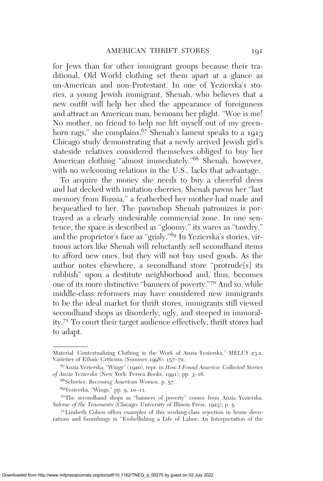for Jews than for other immigrant groups because their traditional, Old World clothing set them apart at a glance as un-American and non-Protestant. In one of Yezierska's stories, a young Jewish immigrant, Shenah, who believes that a new outfit will help her shed the appearance of foreignness and attract an American man, bemoans her plight. "Woe is me! No mother, no friend to help me lift myself out of my greenhorn rags," she complains. $67$  Shenah's lament speaks to a 1913 Chicago study demonstrating that a newly arrived Jewish girl's stateside relatives considered themselves obliged to buy her American clothing "almost immediately."<sup>68</sup> Shenah, however, with no welcoming relations in the U.S., lacks that advantage.

To acquire the money she needs to buy a cheerful dress and hat decked with imitation cherries, Shenah pawns her "last memory from Russia," a featherbed her mother had made and bequeathed to her. The pawnshop Shenah patronizes is portrayed as a clearly undesirable commercial zone. In one sentence, the space is described as "gloomy," its wares as "tawdry," and the proprietor's face as "grisly."<sup>69</sup> In Yezierska's stories, virtuous actors like Shenah will reluctantly sell secondhand items to afford new ones, but they will not buy used goods. As the author notes elsewhere, a secondhand store "protrude[s] its rubbish" upon a destitute neighborhood and, thus, becomes one of its more distinctive "banners of poverty."<sup>70</sup> And so, while middle-class reformers may have considered new immigrants to be the ideal market for thrift stores, immigrants still viewed secondhand shops as disorderly, ugly, and steeped in immorality.<sup>71</sup> To court their target audience effectively, thrift stores had to adapt.

Material: Contextualizing Clothing in the Work of Anzia Yezierska," *MELUS* 23.2, Varieties of Ethnic Criticism (Summer 1998): 157–72.

<sup>67</sup>Anzia Yezierska, "Wings" (1920), repr. in *How I Found America: Collected Stories of Anzia Yezierska* (New York: Persea Books, 1991), pp. 3–16.

<sup>68</sup>Schreier, *Becoming American Women,* p. 57.

<sup>69</sup>Yezierska, "Wings," pp. 9, 10–11.

<sup>70</sup>The secondhand shops as "banners of poverty" comes from Anzia Yezierska, *Salome of the Tenements* (Chicago: University of Illinois Press, 1923), p. 5.

<sup>71</sup>Lizabeth Cohen offers examples of this working-class rejection in home decorations and furnishings in "Embellishing a Life of Labor: An Interpretation of the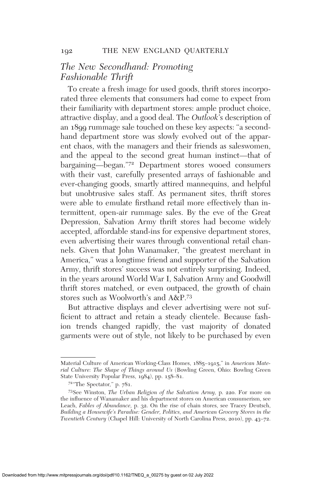## *The New Secondhand: Promoting Fashionable Thrift*

To create a fresh image for used goods, thrift stores incorporated three elements that consumers had come to expect from their familiarity with department stores: ample product choice, attractive display, and a good deal. The *Outlook'*s description of an 1899 rummage sale touched on these key aspects: "a secondhand department store was slowly evolved out of the apparent chaos, with the managers and their friends as saleswomen, and the appeal to the second great human instinct—that of bargaining—began."<sup>72</sup> Department stores wooed consumers with their vast, carefully presented arrays of fashionable and ever-changing goods, smartly attired mannequins, and helpful but unobtrusive sales staff. As permanent sites, thrift stores were able to emulate firsthand retail more effectively than intermittent, open-air rummage sales. By the eve of the Great Depression, Salvation Army thrift stores had become widely accepted, affordable stand-ins for expensive department stores, even advertising their wares through conventional retail channels. Given that John Wanamaker, "the greatest merchant in America," was a longtime friend and supporter of the Salvation Army, thrift stores' success was not entirely surprising. Indeed, in the years around World War I, Salvation Army and Goodwill thrift stores matched, or even outpaced, the growth of chain stores such as Woolworth's and A&P.<sup>73</sup>

But attractive displays and clever advertising were not sufficient to attract and retain a steady clientele. Because fashion trends changed rapidly, the vast majority of donated garments were out of style, not likely to be purchased by even

Material Culture of American Working-Class Homes, 1885–1915," in *American Material Culture: The Shape of Things around Us* (Bowling Green, Ohio: Bowling Green State University Popular Press, 1984), pp. 158–81.

<sup>72</sup>"The Spectator*,*" p. 781.

<sup>73</sup>See Winston, *The Urban Religion of the Salvation Army,* p. 220. For more on the influence of Wanamaker and his department stores on American consumerism, see Leach, *Fables of Abundance,* p. 32. On the rise of chain stores, see Tracey Deutsch, *Building a Housewife's Paradise: Gender, Politics, and American Grocery Stores in the Twentieth Century* (Chapel Hill: University of North Carolina Press, 2010), pp. 43–72.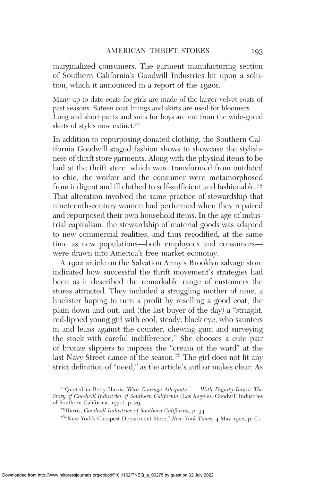marginalized consumers. The garment manufacturing section of Southern California's Goodwill Industries hit upon a solution, which it announced in a report of the 1920s.

Many up to date coats for girls are made of the larger velvet coats of past seasons. Sateen coat linings and skirts are used for bloomers. . . . Long and short pants and suits for boys are cut from the wide-gored skirts of styles now extinct.<sup>74</sup>

In addition to repurposing donated clothing, the Southern California Goodwill staged fashion shows to showcase the stylishness of thrift store garments. Along with the physical items to be had at the thrift store, which were transformed from outdated to chic, the worker and the consumer were metamorphosed from indigent and ill clothed to self-sufficient and fashionable.<sup>75</sup> That alteration involved the same practice of stewardship that nineteenth-century women had performed when they repaired and repurposed their own household items. In the age of industrial capitalism, the stewardship of material goods was adapted to new commercial realities, and thus recodified, at the same time as new populations—both employees and consumers were drawn into America's free market economy.

A 1902 article on the Salvation Army's Brooklyn salvage store indicated how successful the thrift movement's strategies had been as it described the remarkable range of customers the stores attracted. They included a struggling mother of nine, a huckster hoping to turn a profit by reselling a good coat, the plain down-and-out, and (the last buyer of the day) a "straight, red-lipped young girl with cool, steady, black eye, who saunters in and leans against the counter, chewing gum and surveying the stock with careful indifference." She chooses a cute pair of bronze slippers to impress the "cream of the ward" at the last Navy Street dance of the season.<sup>76</sup> The girl does not fit any strict definition of "need," as the article's author makes clear. As

<sup>74</sup>Quoted in Betty Harris, *With Courage Adequate . . . With Dignity Intact: The Story of Goodwill Industries of Southern California* (Los Angeles: Goodwill Industries of Southern California, 1971), p. 29.

<sup>75</sup>Harris, *Goodwill Industries of Southern California,* p. 34.

<sup>76</sup>"New York's Cheapest Department Store," *New York Times,* 4 May 1902, p. C1.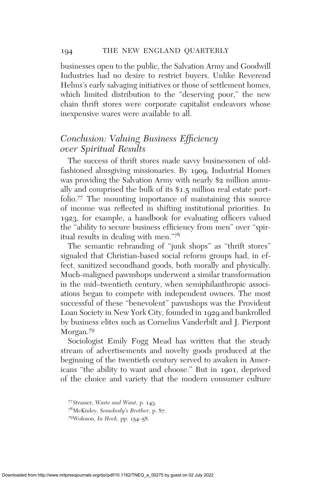businesses open to the public, the Salvation Army and Goodwill Industries had no desire to restrict buyers. Unlike Reverend Helms's early salvaging initiatives or those of settlement homes, which limited distribution to the "deserving poor," the new chain thrift stores were corporate capitalist endeavors whose inexpensive wares were available to all.

# *Conclusion: Valuing Business Efficiency over Spiritual Results*

The success of thrift stores made savvy businessmen of oldfashioned almsgiving missionaries. By 1909, Industrial Homes was providing the Salvation Army with nearly \$2 million annually and comprised the bulk of its \$1.5 million real estate portfolio.<sup>77</sup> The mounting importance of maintaining this source of income was reflected in shifting institutional priorities. In 1923, for example, a handbook for evaluating officers valued the "ability to secure business efficiency from men" over "spiritual results in dealing with men."<sup>78</sup>

The semantic rebranding of "junk shops" as "thrift stores" signaled that Christian-based social reform groups had, in effect, sanitized secondhand goods, both morally and physically. Much-maligned pawnshops underwent a similar transformation in the mid–twentieth century, when semiphilanthropic associations began to compete with independent owners. The most successful of these "benevolent" pawnshops was the Provident Loan Society in New York City, founded in 1929 and bankrolled by business elites such as Cornelius Vanderbilt and J. Pierpont Morgan.<sup>79</sup>

Sociologist Emily Fogg Mead has written that the steady stream of advertisements and novelty goods produced at the beginning of the twentieth century served to awaken in Americans "the ability to want and choose." But in 1901, deprived of the choice and variety that the modern consumer culture

<sup>77</sup>Strasser, *Waste and Want,* p. 143.

<sup>78</sup>McKinley, *Somebody's Brother,* p. 87.

<sup>79</sup>Woloson, *In Hock,* pp. 154–58.